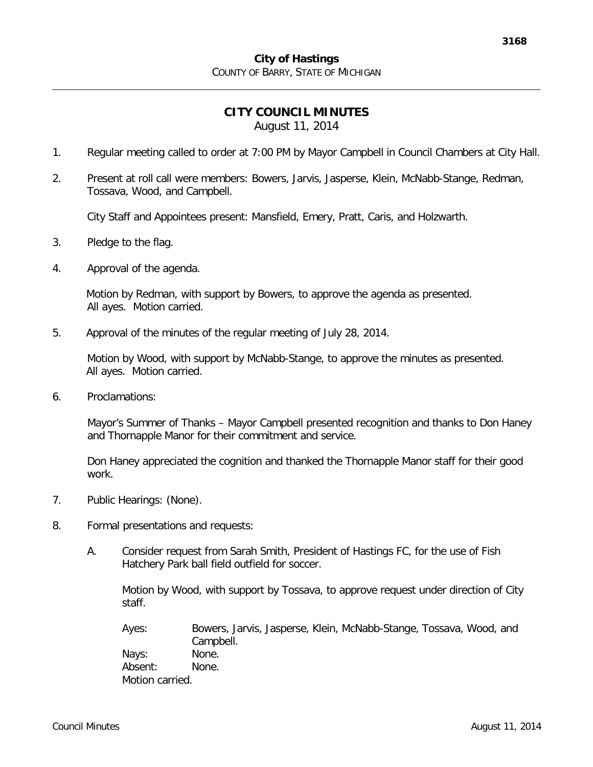## **CITY COUNCIL MINUTES** August 11, 2014

- 1. Regular meeting called to order at 7:00 PM by Mayor Campbell in Council Chambers at City Hall.
- 2. Present at roll call were members: Bowers, Jarvis, Jasperse, Klein, McNabb-Stange, Redman, Tossava, Wood, and Campbell.

City Staff and Appointees present: Mansfield, Emery, Pratt, Caris, and Holzwarth.

- 3. Pledge to the flag.
- 4. Approval of the agenda.

Motion by Redman, with support by Bowers, to approve the agenda as presented. All ayes. Motion carried.

5. Approval of the minutes of the regular meeting of July 28, 2014.

Motion by Wood, with support by McNabb-Stange, to approve the minutes as presented. All ayes. Motion carried.

6. Proclamations:

Mayor's Summer of Thanks – Mayor Campbell presented recognition and thanks to Don Haney and Thornapple Manor for their commitment and service.

Don Haney appreciated the cognition and thanked the Thornapple Manor staff for their good work.

- 7. Public Hearings: (None).
- 8. Formal presentations and requests:
	- A. Consider request from Sarah Smith, President of Hastings FC, for the use of Fish Hatchery Park ball field outfield for soccer.

Motion by Wood, with support by Tossava, to approve request under direction of City staff.

Ayes: Bowers, Jarvis, Jasperse, Klein, McNabb-Stange, Tossava, Wood, and Campbell. Nays: None. Absent: None. Motion carried.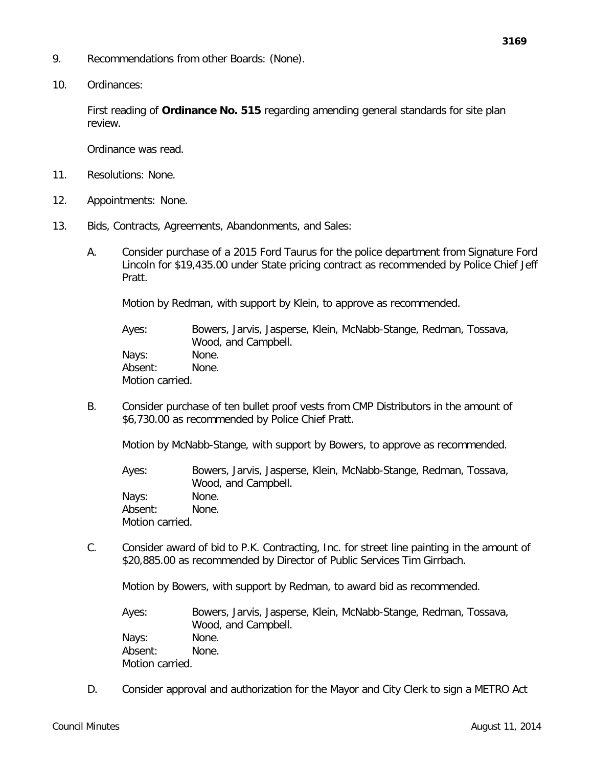- 9. Recommendations from other Boards: (None).
- 10. Ordinances:

First reading of **Ordinance No. 515** regarding amending general standards for site plan review.

Ordinance was read.

- 11. Resolutions: None.
- 12. Appointments: None.
- 13. Bids, Contracts, Agreements, Abandonments, and Sales:
	- A. Consider purchase of a 2015 Ford Taurus for the police department from Signature Ford Lincoln for \$19,435.00 under State pricing contract as recommended by Police Chief Jeff Pratt.

Motion by Redman, with support by Klein, to approve as recommended.

Ayes: Bowers, Jarvis, Jasperse, Klein, McNabb-Stange, Redman, Tossava, Wood, and Campbell. Nays: None. Absent: None. Motion carried.

B. Consider purchase of ten bullet proof vests from CMP Distributors in the amount of \$6,730.00 as recommended by Police Chief Pratt.

Motion by McNabb-Stange, with support by Bowers, to approve as recommended.

Ayes: Bowers, Jarvis, Jasperse, Klein, McNabb-Stange, Redman, Tossava, Wood, and Campbell. Nays: None. Absent: None. Motion carried.

C. Consider award of bid to P.K. Contracting, Inc. for street line painting in the amount of \$20,885.00 as recommended by Director of Public Services Tim Girrbach.

Motion by Bowers, with support by Redman, to award bid as recommended.

Ayes: Bowers, Jarvis, Jasperse, Klein, McNabb-Stange, Redman, Tossava, Wood, and Campbell. Nays: None. Absent: None. Motion carried.

D. Consider approval and authorization for the Mayor and City Clerk to sign a METRO Act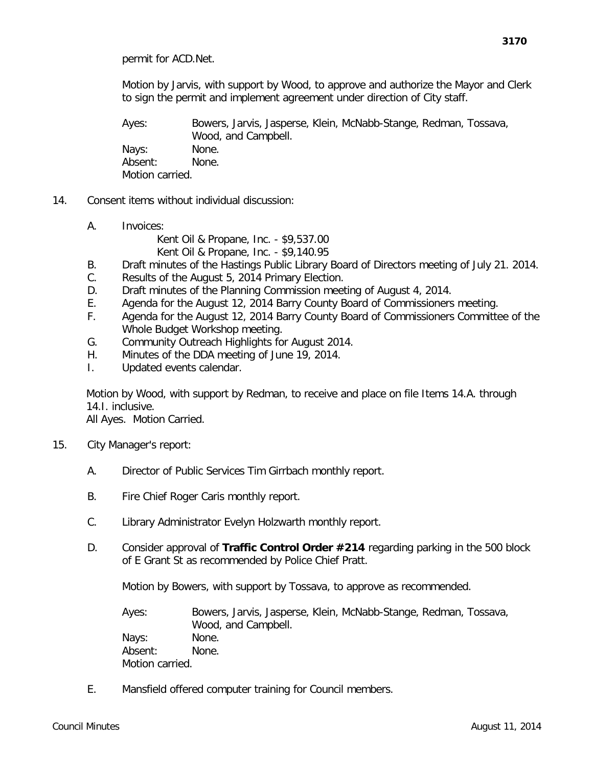Motion by Jarvis, with support by Wood, to approve and authorize the Mayor and Clerk to sign the permit and implement agreement under direction of City staff.

Ayes: Bowers, Jarvis, Jasperse, Klein, McNabb-Stange, Redman, Tossava, Wood, and Campbell. Nays: None. Absent: None. Motion carried.

- 14. Consent items without individual discussion:
	- A. Invoices:

Kent Oil & Propane, Inc. - \$9,537.00 Kent Oil & Propane, Inc. - \$9,140.95

- B. Draft minutes of the Hastings Public Library Board of Directors meeting of July 21. 2014.
- C. Results of the August 5, 2014 Primary Election.
- D. Draft minutes of the Planning Commission meeting of August 4, 2014.
- E. Agenda for the August 12, 2014 Barry County Board of Commissioners meeting.
- F. Agenda for the August 12, 2014 Barry County Board of Commissioners Committee of the Whole Budget Workshop meeting.
- G. Community Outreach Highlights for August 2014.
- H. Minutes of the DDA meeting of June 19, 2014.
- I. Updated events calendar.

Motion by Wood, with support by Redman, to receive and place on file Items 14.A. through 14.I. inclusive.

All Ayes. Motion Carried.

- 15. City Manager's report:
	- A. Director of Public Services Tim Girrbach monthly report.
	- B. Fire Chief Roger Caris monthly report.
	- C. Library Administrator Evelyn Holzwarth monthly report.
	- D. Consider approval of **Traffic Control Order #214** regarding parking in the 500 block of E Grant St as recommended by Police Chief Pratt.

Motion by Bowers, with support by Tossava, to approve as recommended.

Ayes: Bowers, Jarvis, Jasperse, Klein, McNabb-Stange, Redman, Tossava, Wood, and Campbell. Nays: None. Absent: None. Motion carried.

E. Mansfield offered computer training for Council members.